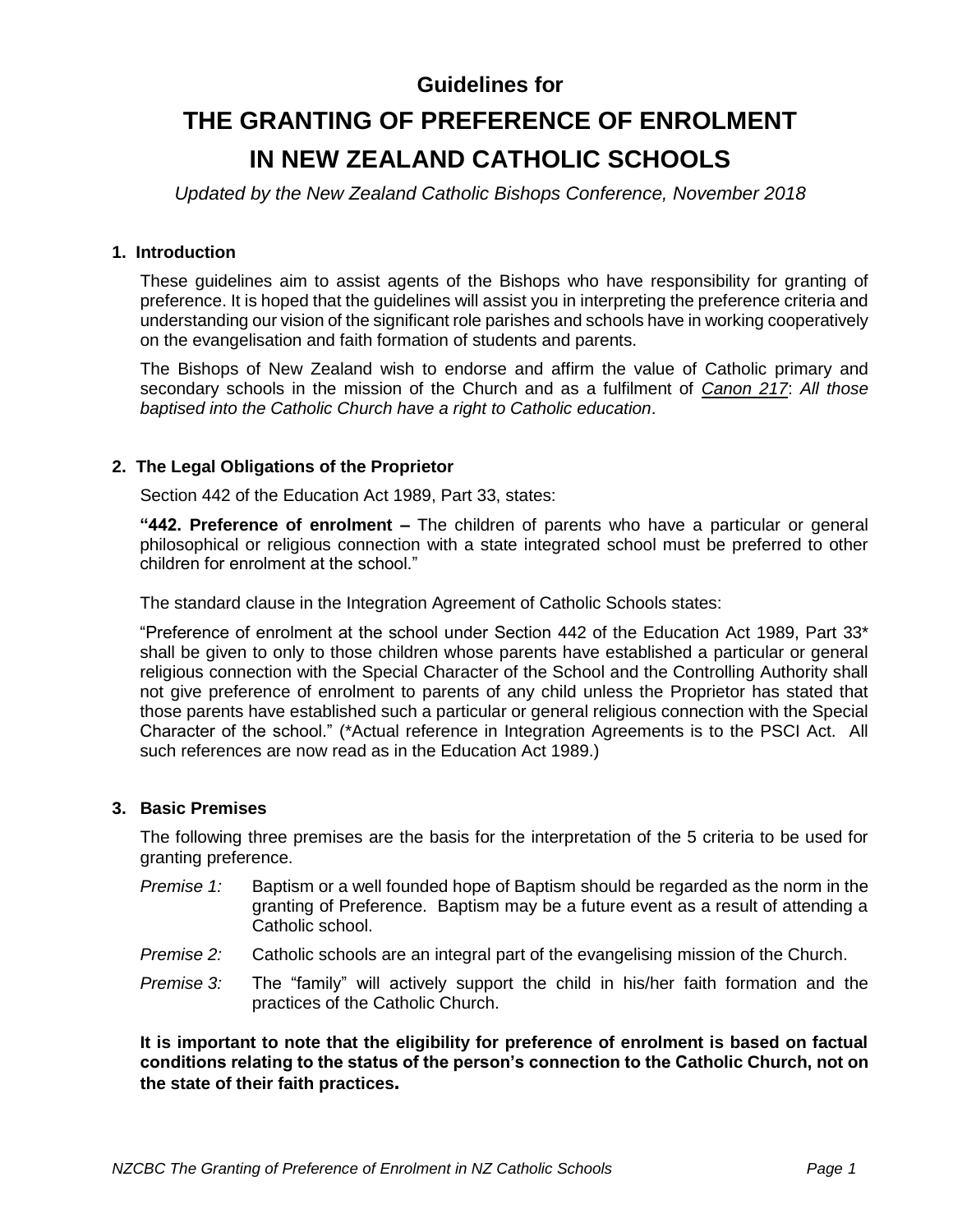# **Guidelines for**

# **THE GRANTING OF PREFERENCE OF ENROLMENT IN NEW ZEALAND CATHOLIC SCHOOLS**

*Updated by the New Zealand Catholic Bishops Conference, November 2018*

#### **1. Introduction**

These guidelines aim to assist agents of the Bishops who have responsibility for granting of preference. It is hoped that the guidelines will assist you in interpreting the preference criteria and understanding our vision of the significant role parishes and schools have in working cooperatively on the evangelisation and faith formation of students and parents.

The Bishops of New Zealand wish to endorse and affirm the value of Catholic primary and secondary schools in the mission of the Church and as a fulfilment of *Canon 217*: *All those baptised into the Catholic Church have a right to Catholic education*.

## **2. The Legal Obligations of the Proprietor**

Section 442 of the Education Act 1989, Part 33, states:

**"442. Preference of enrolment –** The children of parents who have a particular or general philosophical or religious connection with a state integrated school must be preferred to other children for enrolment at the school."

The standard clause in the Integration Agreement of Catholic Schools states:

"Preference of enrolment at the school under Section 442 of the Education Act 1989, Part 33\* shall be given to only to those children whose parents have established a particular or general religious connection with the Special Character of the School and the Controlling Authority shall not give preference of enrolment to parents of any child unless the Proprietor has stated that those parents have established such a particular or general religious connection with the Special Character of the school." (\*Actual reference in Integration Agreements is to the PSCI Act. All such references are now read as in the Education Act 1989.)

#### **3. Basic Premises**

The following three premises are the basis for the interpretation of the 5 criteria to be used for granting preference.

- *Premise 1:* Baptism or a well founded hope of Baptism should be regarded as the norm in the granting of Preference. Baptism may be a future event as a result of attending a Catholic school.
- *Premise 2:* Catholic schools are an integral part of the evangelising mission of the Church.
- *Premise 3:* The "family" will actively support the child in his/her faith formation and the practices of the Catholic Church.

**It is important to note that the eligibility for preference of enrolment is based on factual conditions relating to the status of the person's connection to the Catholic Church, not on the state of their faith practices.**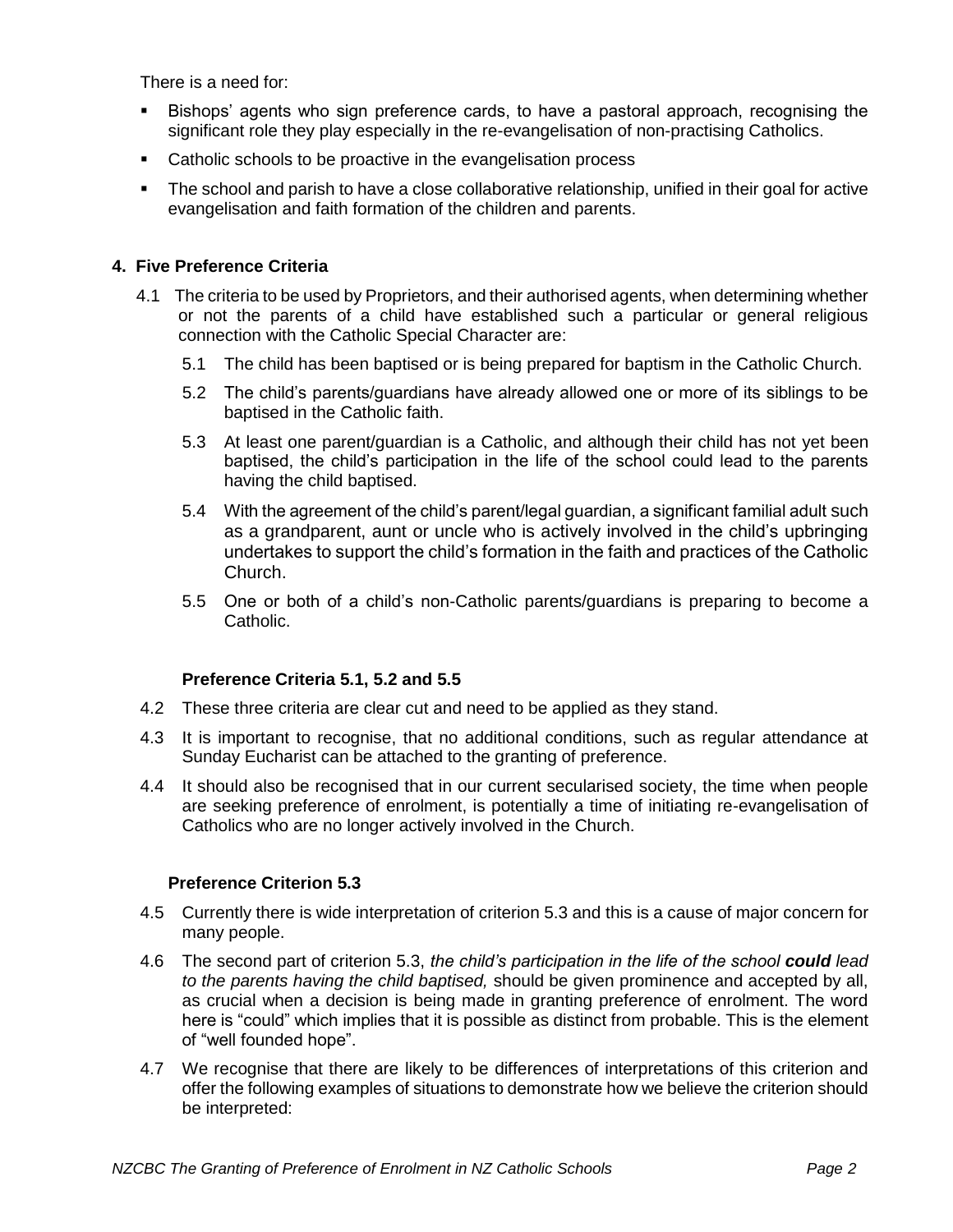There is a need for:

- Bishops' agents who sign preference cards, to have a pastoral approach, recognising the significant role they play especially in the re-evangelisation of non-practising Catholics.
- Catholic schools to be proactive in the evangelisation process
- The school and parish to have a close collaborative relationship, unified in their goal for active evangelisation and faith formation of the children and parents.

# **4. Five Preference Criteria**

- 4.1 The criteria to be used by Proprietors, and their authorised agents, when determining whether or not the parents of a child have established such a particular or general religious connection with the Catholic Special Character are:
	- 5.1 The child has been baptised or is being prepared for baptism in the Catholic Church.
	- 5.2 The child's parents/guardians have already allowed one or more of its siblings to be baptised in the Catholic faith.
	- 5.3 At least one parent/guardian is a Catholic, and although their child has not yet been baptised, the child's participation in the life of the school could lead to the parents having the child baptised.
	- 5.4 With the agreement of the child's parent/legal guardian, a significant familial adult such as a grandparent, aunt or uncle who is actively involved in the child's upbringing undertakes to support the child's formation in the faith and practices of the Catholic Church.
	- 5.5 One or both of a child's non-Catholic parents/guardians is preparing to become a Catholic.

## **Preference Criteria 5.1, 5.2 and 5.5**

- 4.2 These three criteria are clear cut and need to be applied as they stand.
- 4.3 It is important to recognise, that no additional conditions, such as regular attendance at Sunday Eucharist can be attached to the granting of preference.
- 4.4 It should also be recognised that in our current secularised society, the time when people are seeking preference of enrolment, is potentially a time of initiating re-evangelisation of Catholics who are no longer actively involved in the Church.

## **Preference Criterion 5.3**

- 4.5 Currently there is wide interpretation of criterion 5.3 and this is a cause of major concern for many people.
- 4.6 The second part of criterion 5.3, *the child's participation in the life of the school could lead to the parents having the child baptised,* should be given prominence and accepted by all, as crucial when a decision is being made in granting preference of enrolment. The word here is "could" which implies that it is possible as distinct from probable. This is the element of "well founded hope".
- 4.7 We recognise that there are likely to be differences of interpretations of this criterion and offer the following examples of situations to demonstrate how we believe the criterion should be interpreted: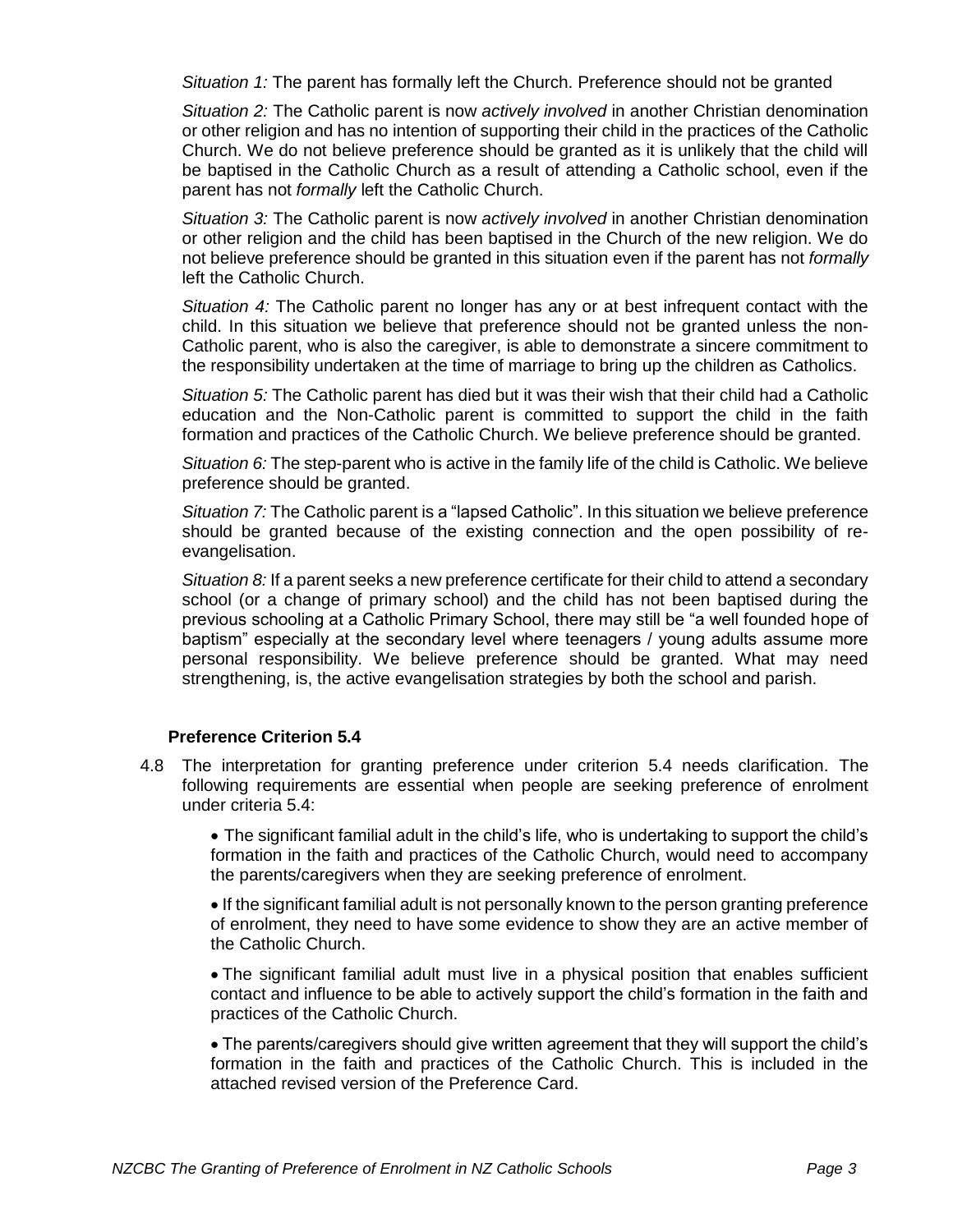*Situation 1:* The parent has formally left the Church. Preference should not be granted

*Situation 2:* The Catholic parent is now *actively involved* in another Christian denomination or other religion and has no intention of supporting their child in the practices of the Catholic Church. We do not believe preference should be granted as it is unlikely that the child will be baptised in the Catholic Church as a result of attending a Catholic school, even if the parent has not *formally* left the Catholic Church.

*Situation 3:* The Catholic parent is now *actively involved* in another Christian denomination or other religion and the child has been baptised in the Church of the new religion. We do not believe preference should be granted in this situation even if the parent has not *formally* left the Catholic Church.

*Situation 4:* The Catholic parent no longer has any or at best infrequent contact with the child. In this situation we believe that preference should not be granted unless the non-Catholic parent, who is also the caregiver, is able to demonstrate a sincere commitment to the responsibility undertaken at the time of marriage to bring up the children as Catholics.

*Situation 5:* The Catholic parent has died but it was their wish that their child had a Catholic education and the Non-Catholic parent is committed to support the child in the faith formation and practices of the Catholic Church. We believe preference should be granted.

*Situation 6:* The step-parent who is active in the family life of the child is Catholic. We believe preference should be granted.

*Situation 7:* The Catholic parent is a "lapsed Catholic". In this situation we believe preference should be granted because of the existing connection and the open possibility of reevangelisation.

*Situation 8:* If a parent seeks a new preference certificate for their child to attend a secondary school (or a change of primary school) and the child has not been baptised during the previous schooling at a Catholic Primary School, there may still be "a well founded hope of baptism" especially at the secondary level where teenagers / young adults assume more personal responsibility. We believe preference should be granted. What may need strengthening, is, the active evangelisation strategies by both the school and parish.

## **Preference Criterion 5.4**

4.8 The interpretation for granting preference under criterion 5.4 needs clarification. The following requirements are essential when people are seeking preference of enrolment under criteria 5.4:

• The significant familial adult in the child's life, who is undertaking to support the child's formation in the faith and practices of the Catholic Church, would need to accompany the parents/caregivers when they are seeking preference of enrolment.

• If the significant familial adult is not personally known to the person granting preference of enrolment, they need to have some evidence to show they are an active member of the Catholic Church.

• The significant familial adult must live in a physical position that enables sufficient contact and influence to be able to actively support the child's formation in the faith and practices of the Catholic Church.

• The parents/caregivers should give written agreement that they will support the child's formation in the faith and practices of the Catholic Church. This is included in the attached revised version of the Preference Card.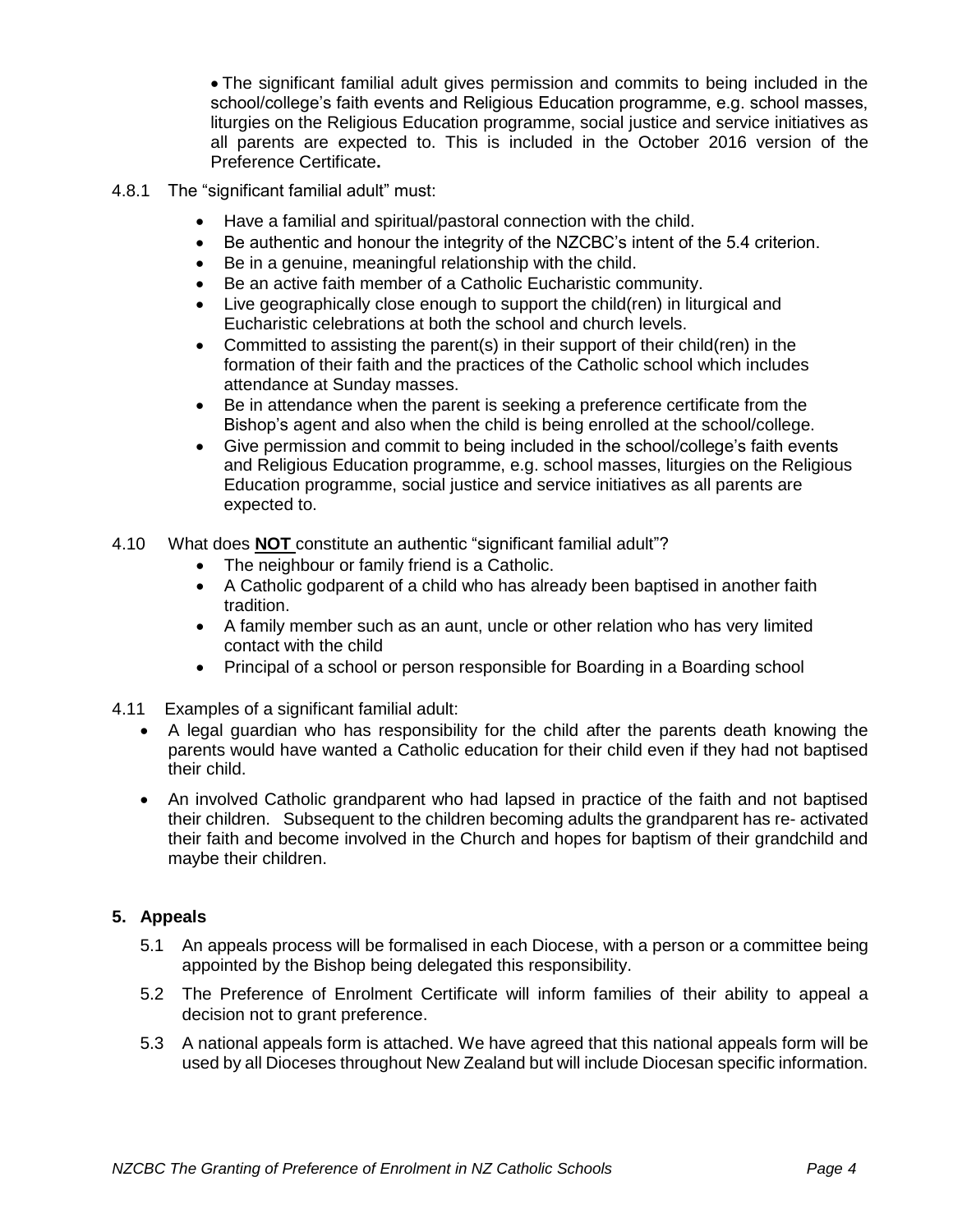• The significant familial adult gives permission and commits to being included in the school/college's faith events and Religious Education programme, e.g. school masses, liturgies on the Religious Education programme, social justice and service initiatives as all parents are expected to. This is included in the October 2016 version of the Preference Certificate**.**

- 4.8.1 The "significant familial adult" must:
	- Have a familial and spiritual/pastoral connection with the child.
	- Be authentic and honour the integrity of the NZCBC's intent of the 5.4 criterion.
	- Be in a genuine, meaningful relationship with the child.
	- Be an active faith member of a Catholic Eucharistic community.
	- Live geographically close enough to support the child(ren) in liturgical and Eucharistic celebrations at both the school and church levels.
	- Committed to assisting the parent(s) in their support of their child(ren) in the formation of their faith and the practices of the Catholic school which includes attendance at Sunday masses.
	- Be in attendance when the parent is seeking a preference certificate from the Bishop's agent and also when the child is being enrolled at the school/college.
	- Give permission and commit to being included in the school/college's faith events and Religious Education programme, e.g. school masses, liturgies on the Religious Education programme, social justice and service initiatives as all parents are expected to.
- 4.10 What does **NOT** constitute an authentic "significant familial adult"?
	- The neighbour or family friend is a Catholic.
	- A Catholic godparent of a child who has already been baptised in another faith tradition.
	- A family member such as an aunt, uncle or other relation who has very limited contact with the child
	- Principal of a school or person responsible for Boarding in a Boarding school
- 4.11 Examples of a significant familial adult:
	- A legal guardian who has responsibility for the child after the parents death knowing the parents would have wanted a Catholic education for their child even if they had not baptised their child.
	- An involved Catholic grandparent who had lapsed in practice of the faith and not baptised their children. Subsequent to the children becoming adults the grandparent has re- activated their faith and become involved in the Church and hopes for baptism of their grandchild and maybe their children.

## **5. Appeals**

- 5.1 An appeals process will be formalised in each Diocese, with a person or a committee being appointed by the Bishop being delegated this responsibility.
- 5.2 The Preference of Enrolment Certificate will inform families of their ability to appeal a decision not to grant preference.
- 5.3 A national appeals form is attached. We have agreed that this national appeals form will be used by all Dioceses throughout New Zealand but will include Diocesan specific information.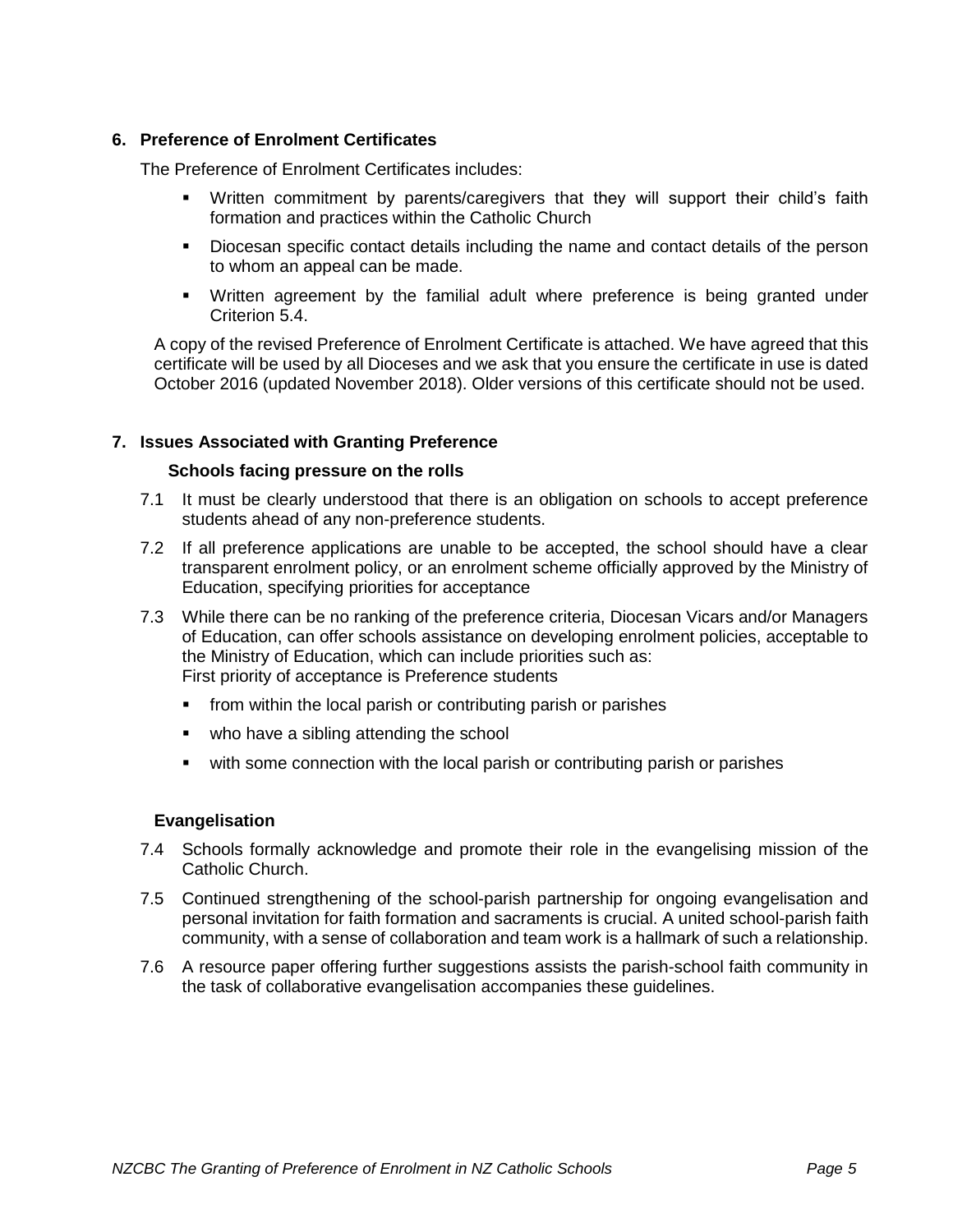## **6. Preference of Enrolment Certificates**

The Preference of Enrolment Certificates includes:

- Written commitment by parents/caregivers that they will support their child's faith formation and practices within the Catholic Church
- **•** Diocesan specific contact details including the name and contact details of the person to whom an appeal can be made.
- Written agreement by the familial adult where preference is being granted under Criterion 5.4.

A copy of the revised Preference of Enrolment Certificate is attached. We have agreed that this certificate will be used by all Dioceses and we ask that you ensure the certificate in use is dated October 2016 (updated November 2018). Older versions of this certificate should not be used.

#### **7. Issues Associated with Granting Preference**

#### **Schools facing pressure on the rolls**

- 7.1 It must be clearly understood that there is an obligation on schools to accept preference students ahead of any non-preference students.
- 7.2 If all preference applications are unable to be accepted, the school should have a clear transparent enrolment policy, or an enrolment scheme officially approved by the Ministry of Education, specifying priorities for acceptance
- 7.3 While there can be no ranking of the preference criteria, Diocesan Vicars and/or Managers of Education, can offer schools assistance on developing enrolment policies, acceptable to the Ministry of Education, which can include priorities such as: First priority of acceptance is Preference students
	- from within the local parish or contributing parish or parishes
	- who have a sibling attending the school
	- with some connection with the local parish or contributing parish or parishes

## **Evangelisation**

- 7.4 Schools formally acknowledge and promote their role in the evangelising mission of the Catholic Church.
- 7.5 Continued strengthening of the school-parish partnership for ongoing evangelisation and personal invitation for faith formation and sacraments is crucial. A united school-parish faith community, with a sense of collaboration and team work is a hallmark of such a relationship.
- 7.6 A resource paper offering further suggestions assists the parish-school faith community in the task of collaborative evangelisation accompanies these guidelines.